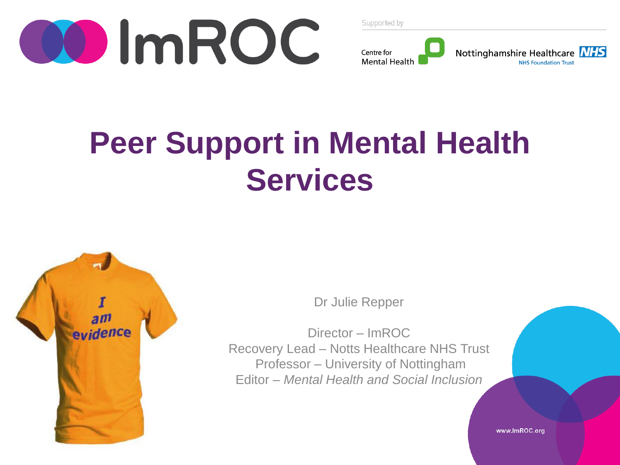



### **Peer Support in Mental Health Services**



Dr Julie Repper

Director – ImROC Recovery Lead – Notts Healthcare NHS Trust Professor – University of Nottingham Editor – *Mental Health and Social Inclusion*

www.lmROC.org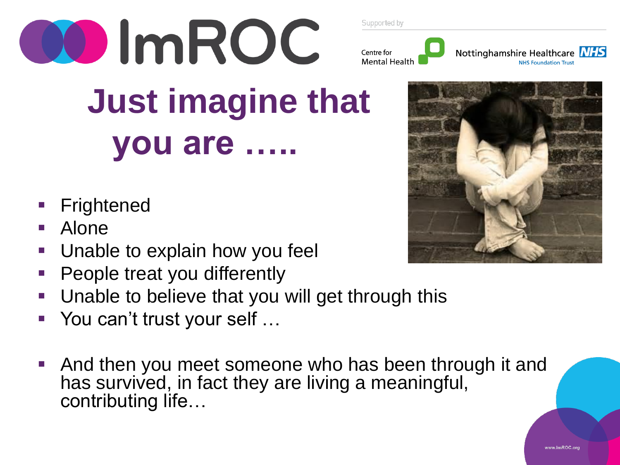



 **Just imagine that you are …..**

- **Frightened**
- Alone
- Unable to explain how you feel
- People treat you differently
- Unable to believe that you will get through this
- You can't trust your self …
- And then you meet someone who has been through it and has survived, in fact they are living a meaningful, contributing life…

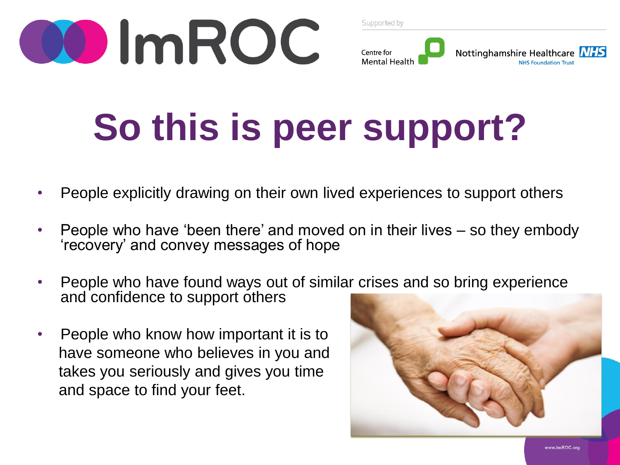

#### Centre for Nottinghamshire Healthcare NHS **Mental Health NHS Foundation Trust**

## **So this is peer support?**

- People explicitly drawing on their own lived experiences to support others
- People who have 'been there' and moved on in their lives so they embody 'recovery' and convey messages of hope
- People who have found ways out of similar crises and so bring experience and confidence to support others
- People who know how important it is to have someone who believes in you and takes you seriously and gives you time and space to find your feet.

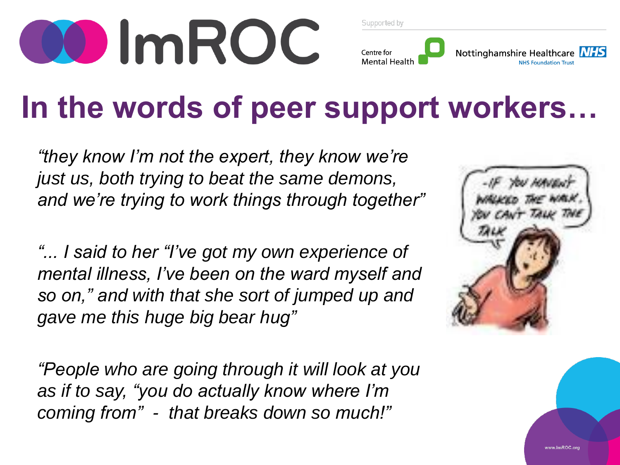

#### Nottinghamshire Healthcare NHS Centre for **Mental Health NHS Foundation Trust**

### **In the words of peer support workers…**

*"they know I'm not the expert, they know we're just us, both trying to beat the same demons, and we're trying to work things through together"*

*"... I said to her "I've got my own experience of mental illness, I've been on the ward myself and so on," and with that she sort of jumped up and gave me this huge big bear hug"*

*"People who are going through it will look at you as if to say, "you do actually know where I'm coming from" - that breaks down so much!"*

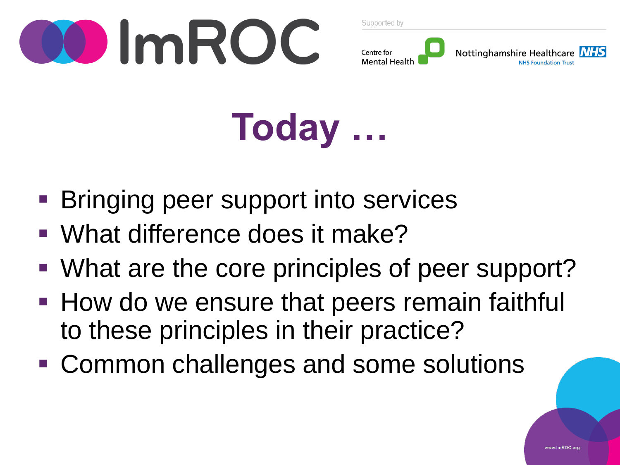



**Today …**

- **Bringing peer support into services**
- What difference does it make?
- What are the core principles of peer support?
- **How do we ensure that peers remain faithful** to these principles in their practice?
- Common challenges and some solutions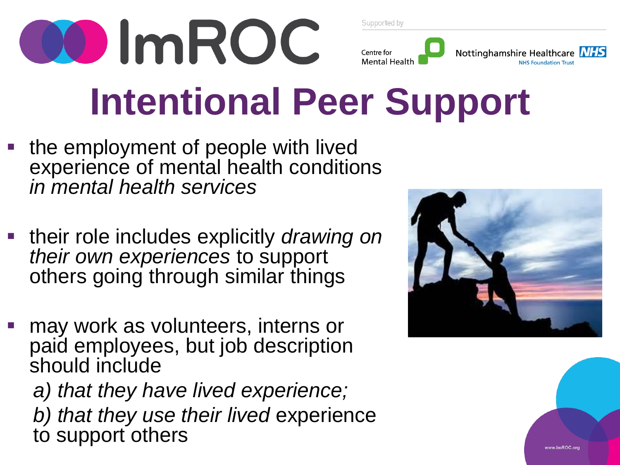

• the employment of people with lived experience of mental health conditions *in mental health services* 

00 ImROC

- their role includes explicitly *drawing on their own experiences* to support others going through similar things
- may work as volunteers, interns or paid employees, but job description should include *a) that they have lived experience; b) that they use their lived* experience
	- to support others





Nottinghamshire Healthcare NHS

**NHS Foundation Trust** 



Centre for **Mental Health**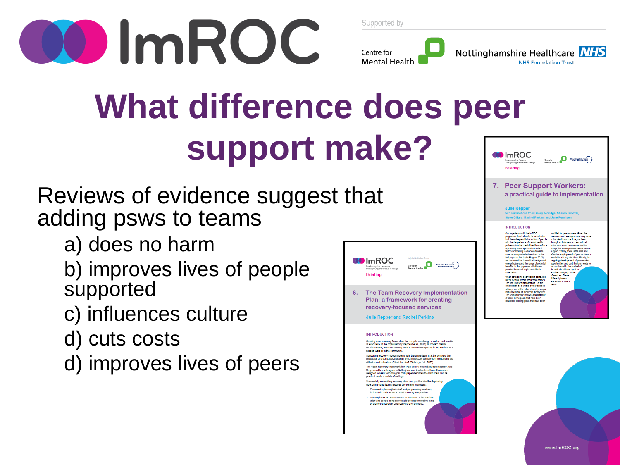

Centre for

Nottinghamshire Healthcare MHS **Mental Health NHS Foundation Trust** 

### **What difference does peer support make? O**ImROC **Briefing**

Reviews of evidence suggest that adding psws to teams

- a) does no harm
- b) improves lives of people supported
- c) influences culture
- d) cuts costs
- d) improves lives of peers

|    | A joint in Eative from<br>DO ImR(<br>Mental Health Netwi<br>NHS CONFEDERATE<br>Centre for<br><b>Implementing Recovery</b><br>through Organisational Change<br>Mental Health<br><b>Briefing</b>                                                                                                                                                                                                                                                                                                                                                                                                                                                                                                                                                                                                                                                                                                                                                                                                                                                                                                                                                                                                                                                                                                                                     |  |
|----|------------------------------------------------------------------------------------------------------------------------------------------------------------------------------------------------------------------------------------------------------------------------------------------------------------------------------------------------------------------------------------------------------------------------------------------------------------------------------------------------------------------------------------------------------------------------------------------------------------------------------------------------------------------------------------------------------------------------------------------------------------------------------------------------------------------------------------------------------------------------------------------------------------------------------------------------------------------------------------------------------------------------------------------------------------------------------------------------------------------------------------------------------------------------------------------------------------------------------------------------------------------------------------------------------------------------------------|--|
| 6. | The Team Recovery Implementation<br>Plan: a framework for creating<br>recovery-focused services<br><b>Julie Repper and Rachel Perkins</b>                                                                                                                                                                                                                                                                                                                                                                                                                                                                                                                                                                                                                                                                                                                                                                                                                                                                                                                                                                                                                                                                                                                                                                                          |  |
|    | <b>INTRODUCTION</b><br>Creating more recovery-focused services requires a change in culture and practice<br>at every level of the organisation (Shepherd et al., 2010). In modern mental<br>health services, the basic building block is the multidisciplinary team, whether in a<br>hospital ward or in the community.<br>Supporting recovery through working with the whole team is at the centre of the<br>processes of organisational change and a necessary complement to changing the<br>attitudes and behaviour of front-line stall (Whiteley et al., 2009).<br>The 'Team Recovery Implementation Plan' (TRIP) was initially developed by Julie<br>Repper and her colleagues in Nottingham and is a tried and tested instrument<br>designed to assist with this goal. This paper describes the instrument and its<br>practical use in a variety of settings.<br>Successfully embedding recovery ideas and practice into the day-to-day<br>work of individual teams requires two parallel processes:<br>1. Empowering teams (their stall and people using services).<br>to translate abstract ideas about recovery into practice.<br>2. Utilising the skills and resources of everyone at the front line<br>(staff and people using services) to develop innovative ways<br>of promoting recovery and recovery environments. |  |

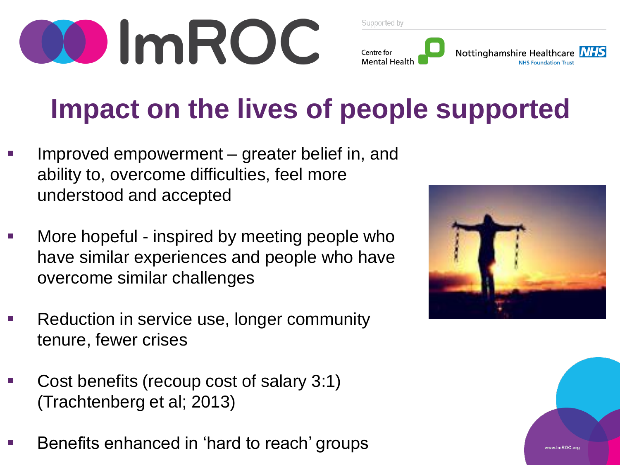

#### Nottinghamshire Healthcare Centre for **Mental Healtl**

### **Impact on the lives of people supported**

- Improved empowerment greater belief in, and ability to, overcome difficulties, feel more understood and accepted
- More hopeful inspired by meeting people who have similar experiences and people who have overcome similar challenges
- Reduction in service use, longer community tenure, fewer crises
- Cost benefits (recoup cost of salary 3:1) (Trachtenberg et al; 2013)
- Benefits enhanced in 'hard to reach' groups

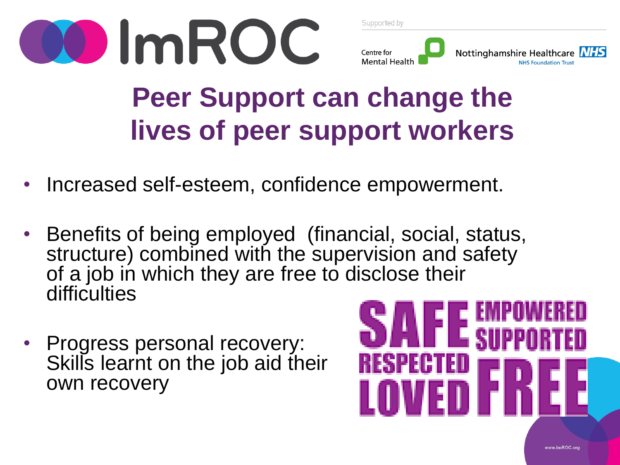



### **Peer Support can change the lives of peer support workers**

- Increased self-esteem, confidence empowerment.
- Benefits of being employed (financial, social, status, structure) combined with the supervision and safety of a job in which they are free to disclose their difficulties
- Progress personal recovery: Skills learnt on the job aid their own recovery

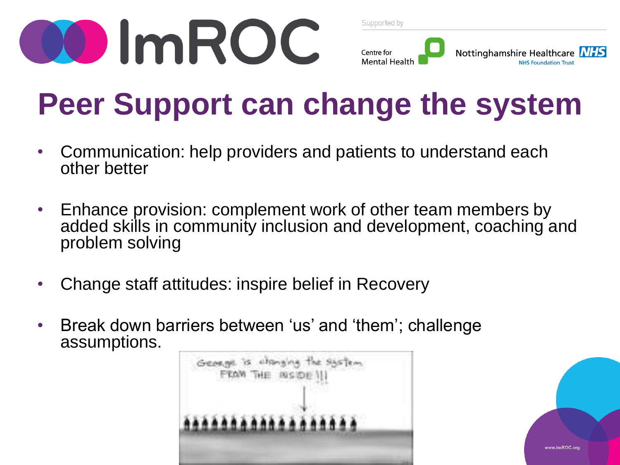

|  |  |  | Supported by |
|--|--|--|--------------|
|  |  |  |              |



### **Peer Support can change the system**

- Communication: help providers and patients to understand each other better
- Enhance provision: complement work of other team members by added skills in community inclusion and development, coaching and problem solving
- Change staff attitudes: inspire belief in Recovery
- Break down barriers between 'us' and 'them'; challenge assumptions.



www.lmROC.or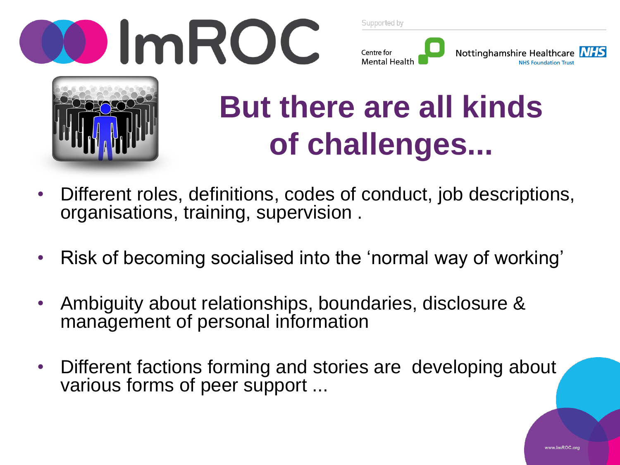







### **But there are all kinds of challenges...**

- Different roles, definitions, codes of conduct, job descriptions, organisations, training, supervision .
- Risk of becoming socialised into the 'normal way of working'
- Ambiguity about relationships, boundaries, disclosure & management of personal information
- Different factions forming and stories are developing about various forms of peer support ...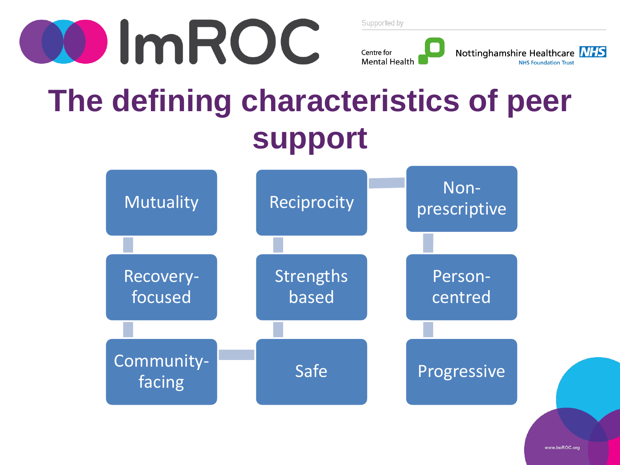

#### Nottinghamshire Healthcare NHS Centre for **Mental Health NHS Foundation Trust**

### **The defining characteristics of peer support**



www.lmROC.org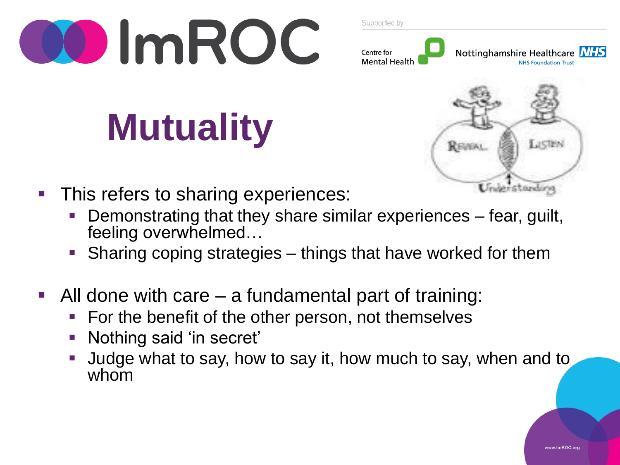

#### Nottinghamshire Healthcare NHS Centre for **Mental Health NHS Foundation Trust**

# **Mutuality**



- This refers to sharing experiences:
	- Demonstrating that they share similar experiences fear, guilt, feeling overwhelmed…
	- Sharing coping strategies things that have worked for them
- All done with care a fundamental part of training:
	- For the benefit of the other person, not themselves
	- Nothing said 'in secret'
	- Judge what to say, how to say it, how much to say, when and to whom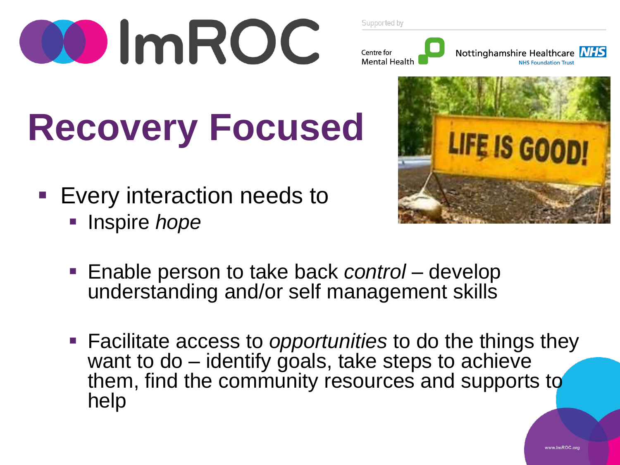



## **Recovery Focused**

- **Every interaction needs to** 
	- **Inspire** *hope*



- Enable person to take back *control* develop understanding and/or self management skills
- Facilitate access to *opportunities* to do the things they want to do – identify goals, take steps to achieve them, find the community resources and supports to help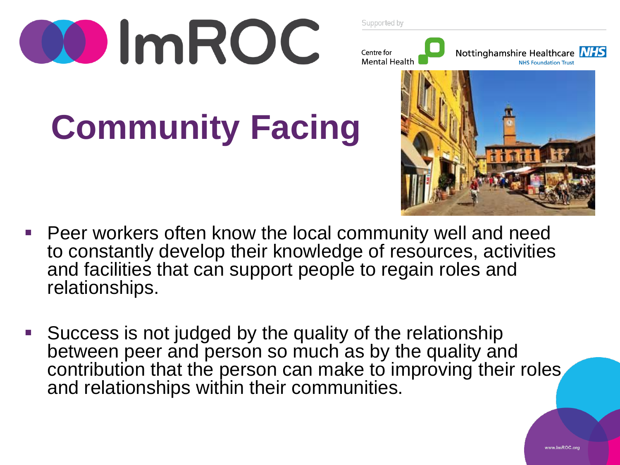





## **Community Facing**



- Peer workers often know the local community well and need to constantly develop their knowledge of resources, activities and facilities that can support people to regain roles and relationships.
- Success is not judged by the quality of the relationship between peer and person so much as by the quality and contribution that the person can make to improving their roles and relationships within their communities.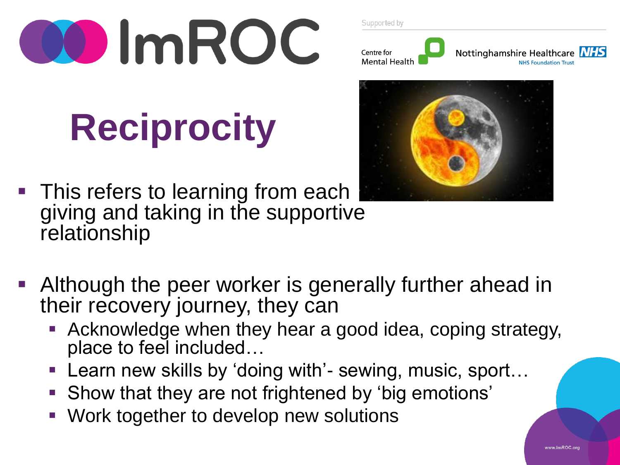

## **Reciprocity**

This refers to learning from each giving and taking in the supportive relationship

Supported by





- Although the peer worker is generally further ahead in their recovery journey, they can
	- Acknowledge when they hear a good idea, coping strategy, place to feel included...
	- Learn new skills by 'doing with'- sewing, music, sport...
	- Show that they are not frightened by 'big emotions'
	- Work together to develop new solutions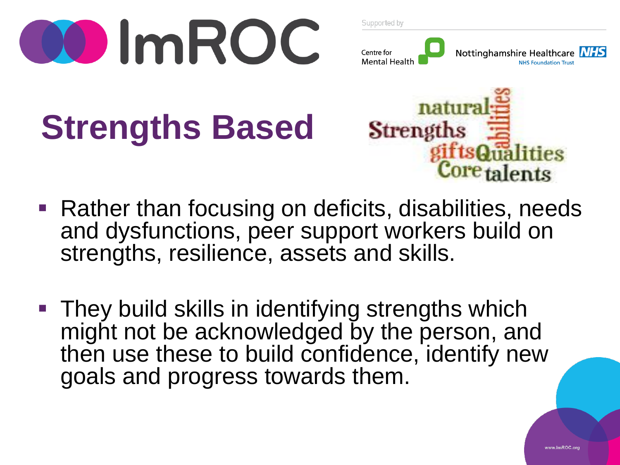



### **Strengths Based**



- Rather than focusing on deficits, disabilities, needs and dysfunctions, peer support workers build on strengths, resilience, assets and skills.
- They build skills in identifying strengths which might not be acknowledged by the person, and then use these to build confidence, identify new goals and progress towards them.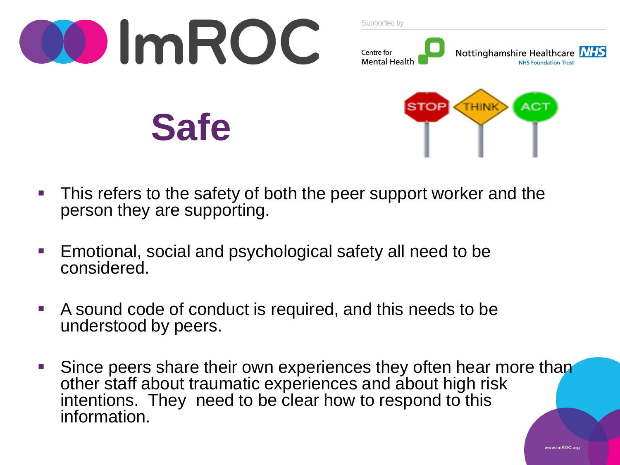

- **This refers to the safety of both the peer support worker and the** person they are supporting.
- Emotional, social and psychological safety all need to be considered.
- A sound code of conduct is required, and this needs to be understood by peers.
- Since peers share their own experiences they often hear more than other staff about traumatic experiences and about high risk intentions. They need to be clear how to respond to this information.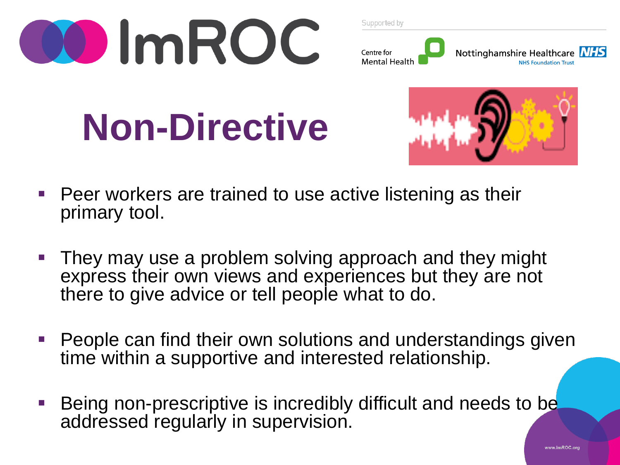



## **Non-Directive**



- Peer workers are trained to use active listening as their primary tool.
- They may use a problem solving approach and they might express their own views and experiences but they are not there to give advice or tell people what to do.
- People can find their own solutions and understandings given time within a supportive and interested relationship.
- Being non-prescriptive is incredibly difficult and needs to be addressed regularly in supervision.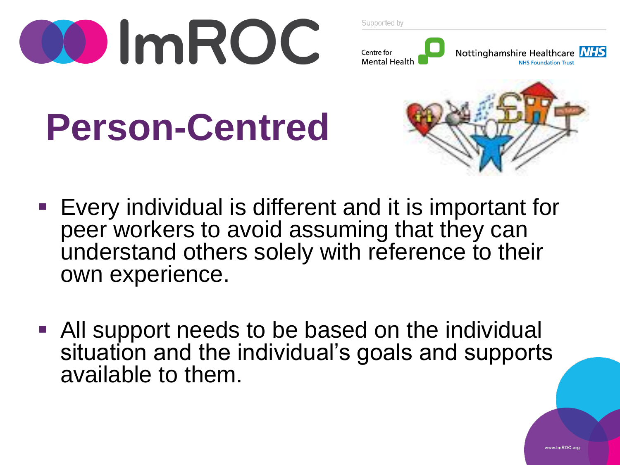



## **Person-Centred**



- Every individual is different and it is important for peer workers to avoid assuming that they can understand others solely with reference to their own experience.
- All support needs to be based on the individual situation and the individual's goals and supports available to them.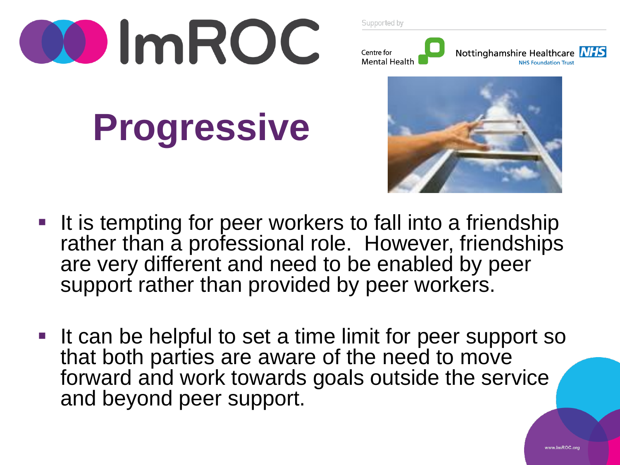

**Progressive**

Supported by





- It is tempting for peer workers to fall into a friendship rather than a professional role. However, friendships are very different and need to be enabled by peer support rather than provided by peer workers.
- If can be helpful to set a time limit for peer support so that both parties are aware of the need to move forward and work towards goals outside the service and beyond peer support.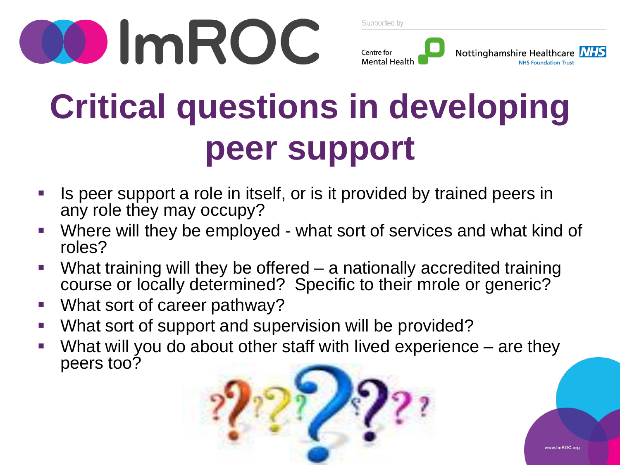



### **Critical questions in developing peer support**

- Is peer support a role in itself, or is it provided by trained peers in any role they may occupy?
- Where will they be employed what sort of services and what kind of roles?
- What training will they be offered a nationally accredited training course or locally determined? Specific to their mrole or generic?
- **What sort of career pathway?**
- What sort of support and supervision will be provided?
- What will you do about other staff with lived experience are they peers too?

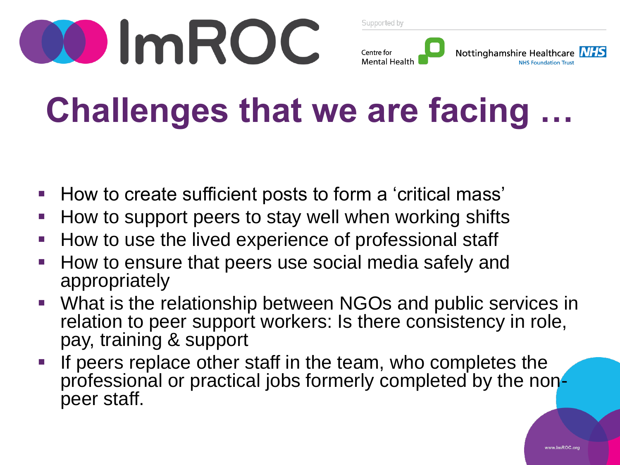



### **Challenges that we are facing …**

- How to create sufficient posts to form a 'critical mass'
- How to support peers to stay well when working shifts
- How to use the lived experience of professional staff
- How to ensure that peers use social media safely and appropriately
- What is the relationship between NGOs and public services in relation to peer support workers: Is there consistency in role, pay, training & support
- If peers replace other staff in the team, who completes the professional or practical jobs formerly completed by the nonpeer staff.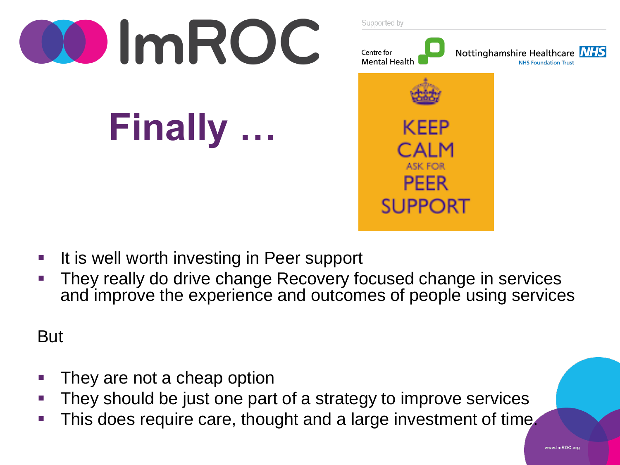

- **If is well worth investing in Peer support**
- They really do drive change Recovery focused change in services and improve the experience and outcomes of people using services

But

- They are not a cheap option
- They should be just one part of a strategy to improve services
- This does require care, thought and a large investment of time.